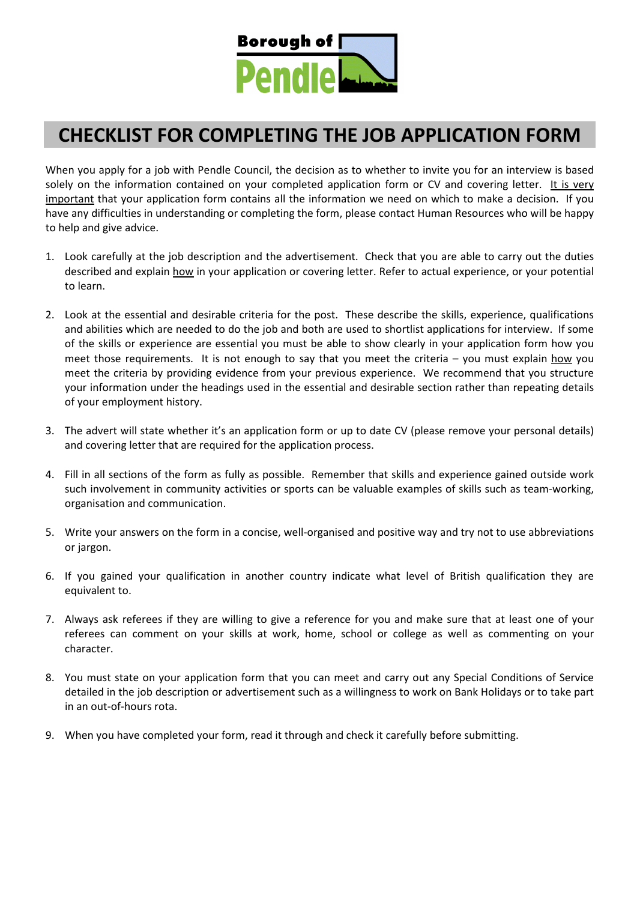

## **CHECKLIST FOR COMPLETING THE JOB APPLICATION FORM**

When you apply for a job with Pendle Council, the decision as to whether to invite you for an interview is based solely on the information contained on your completed application form or CV and covering letter. It is very important that your application form contains all the information we need on which to make a decision. If you have any difficulties in understanding or completing the form, please contact Human Resources who will be happy to help and give advice.

- 1. Look carefully at the job description and the advertisement. Check that you are able to carry out the duties described and explain how in your application or covering letter. Refer to actual experience, or your potential to learn.
- 2. Look at the essential and desirable criteria for the post. These describe the skills, experience, qualifications and abilities which are needed to do the job and both are used to shortlist applications for interview. If some of the skills or experience are essential you must be able to show clearly in your application form how you meet those requirements. It is not enough to say that you meet the criteria – you must explain how you meet the criteria by providing evidence from your previous experience. We recommend that you structure your information under the headings used in the essential and desirable section rather than repeating details of your employment history.
- 3. The advert will state whether it's an application form or up to date CV (please remove your personal details) and covering letter that are required for the application process.
- 4. Fill in all sections of the form as fully as possible. Remember that skills and experience gained outside work such involvement in community activities or sports can be valuable examples of skills such as team-working, organisation and communication.
- 5. Write your answers on the form in a concise, well-organised and positive way and try not to use abbreviations or jargon.
- 6. If you gained your qualification in another country indicate what level of British qualification they are equivalent to.
- 7. Always ask referees if they are willing to give a reference for you and make sure that at least one of your referees can comment on your skills at work, home, school or college as well as commenting on your character.
- 8. You must state on your application form that you can meet and carry out any Special Conditions of Service detailed in the job description or advertisement such as a willingness to work on Bank Holidays or to take part in an out-of-hours rota.
- 9. When you have completed your form, read it through and check it carefully before submitting.